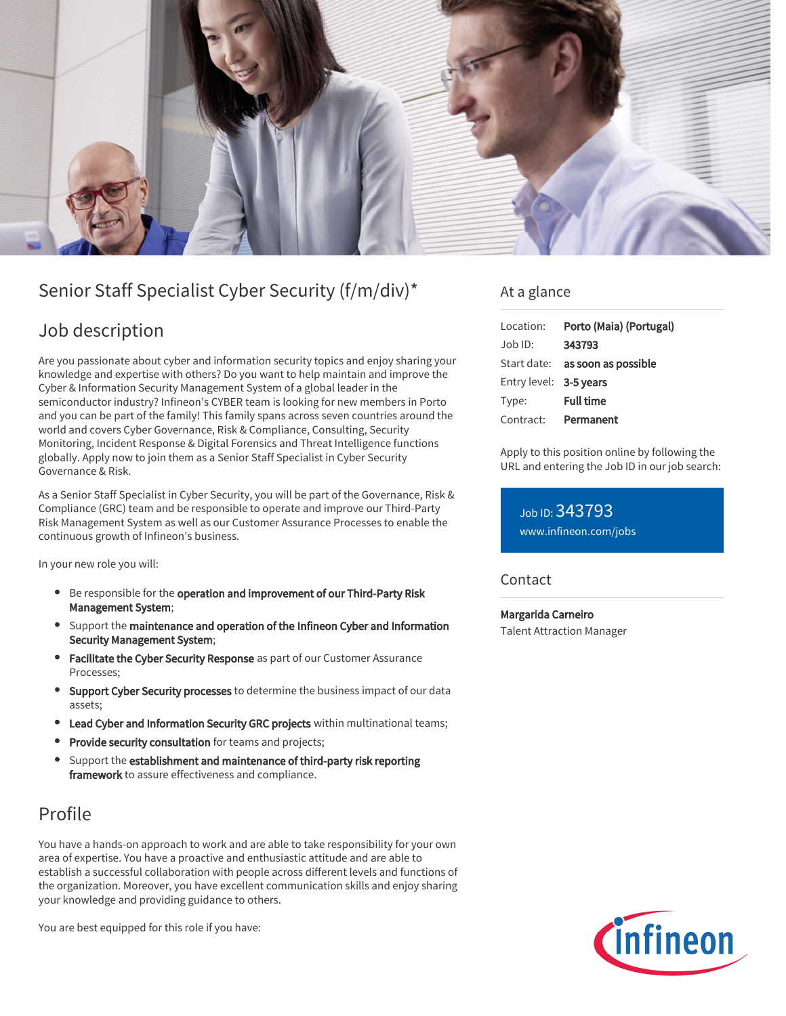

# Senior Staff Specialist Cyber Security (f/m/div)\*

# Job description

Are you passionate about cyber and information security topics and enjoy sharing your knowledge and expertise with others? Do you want to help maintain and improve the Cyber & Information Security Management System of a global leader in the semiconductor industry? Infineon's CYBER team is looking for new members in Porto and you can be part of the family! This family spans across seven countries around the world and covers Cyber Governance, Risk & Compliance, Consulting, Security Monitoring, Incident Response & Digital Forensics and Threat Intelligence functions globally. Apply now to join them as a Senior Staff Specialist in Cyber Security Governance & Risk.

As a Senior Staff Specialist in Cyber Security, you will be part of the Governance, Risk & Compliance (GRC) team and be responsible to operate and improve our Third-Party Risk Management System as well as our Customer Assurance Processes to enable the continuous growth of Infineon's business.

In your new role you will:

- **Be responsible for the operation and improvement of our Third-Party Risk** Management System;
- Support the maintenance and operation of the Infineon Cyber and Information Security Management System;
- **Facilitate the Cyber Security Response** as part of our Customer Assurance Processes;
- Support Cyber Security processes to determine the business impact of our data assets;
- **Lead Cyber and Information Security GRC projects** within multinational teams;
- Provide security consultation for teams and projects;
- Support the establishment and maintenance of third-party risk reporting framework to assure effectiveness and compliance.

## Profile

You have a hands-on approach to work and are able to take responsibility for your own area of expertise. You have a proactive and enthusiastic attitude and are able to establish a successful collaboration with people across different levels and functions of the organization. Moreover, you have excellent communication skills and enjoy sharing your knowledge and providing guidance to others.

You are best equipped for this role if you have:

### At a glance

| Location:              | Porto (Maia) (Portugal)         |
|------------------------|---------------------------------|
| Job ID:                | 343793                          |
|                        | Start date: as soon as possible |
| Entry level: 3-5 years |                                 |
| Type:                  | <b>Full time</b>                |
| Contract:              | Permanent                       |

Apply to this position online by following the URL and entering the Job ID in our job search:

Job ID: 343793 [www.infineon.com/jobs](https://www.infineon.com/jobs)

### Contact

Margarida Carneiro Talent Attraction Manager